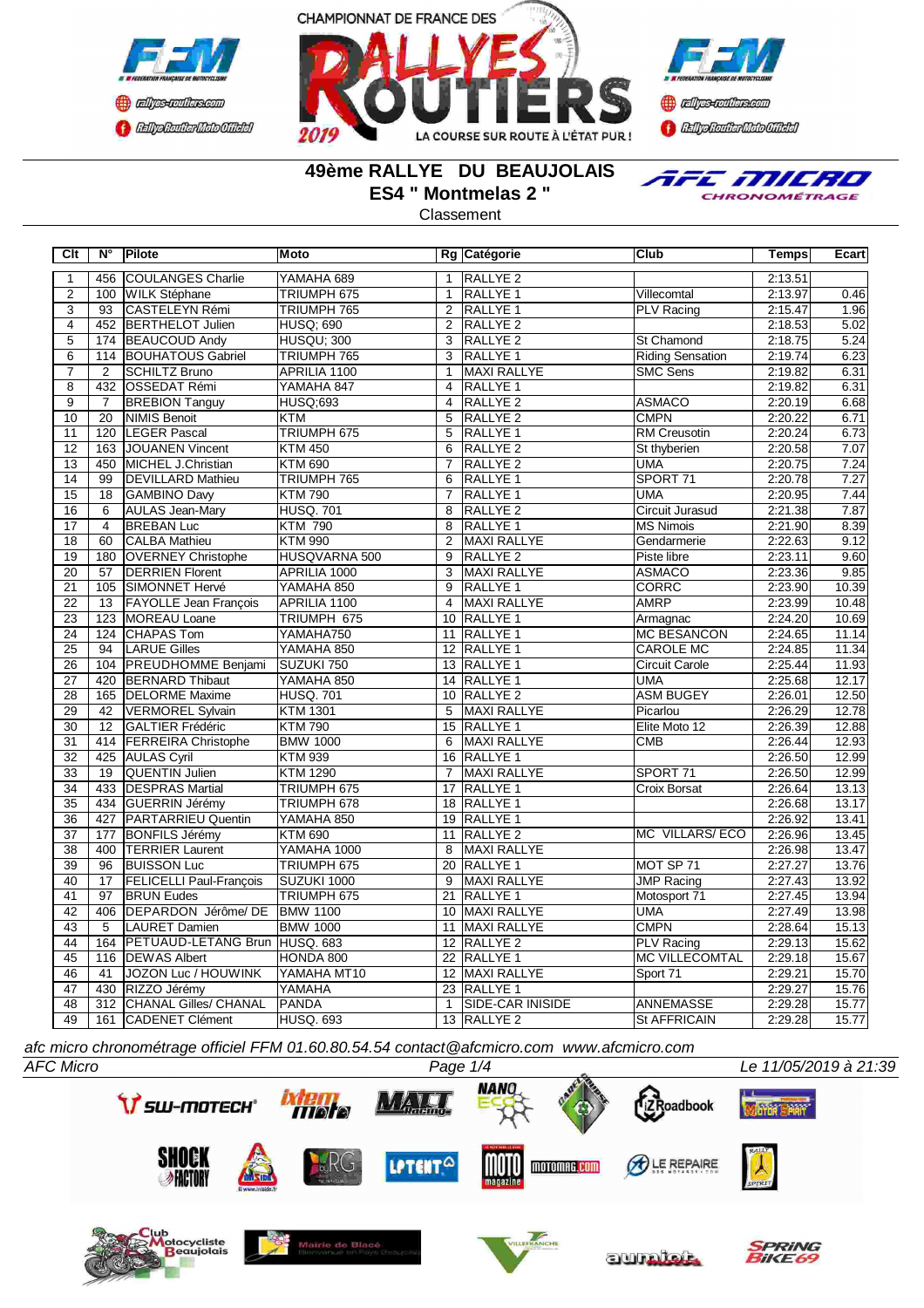





## **49ème RALLYE DU BEAUJOLAIS ES4 " Montmelas 2 "**

TFE MILRO CHRONOMÉTRAGE

Classement

| Clt             | $N^{\circ}$      | Pilote                         | <b>Moto</b>       |                 | Rg Catégorie        | <b>Club</b>             | Temps   | Ecart |
|-----------------|------------------|--------------------------------|-------------------|-----------------|---------------------|-------------------------|---------|-------|
| 1               | 456              | <b>COULANGES Charlie</b>       | YAMAHA 689        | $\mathbf{1}$    | RALLYE <sub>2</sub> |                         | 2:13.51 |       |
| $\overline{2}$  | 100              | <b>WILK Stéphane</b>           | TRIUMPH 675       | $\mathbf{1}$    | <b>RALLYE 1</b>     | Villecomtal             | 2:13.97 | 0.46  |
| $\overline{3}$  | 93               | CASTELEYN Rémi                 | TRIUMPH 765       | 2               | RALLYE <sub>1</sub> | <b>PLV Racing</b>       | 2:15.47 | 1.96  |
| $\overline{4}$  | 452              | <b>BERTHELOT Julien</b>        | <b>HUSQ; 690</b>  | $\overline{2}$  | <b>RALLYE 2</b>     |                         | 2:18.53 | 5.02  |
| $\overline{5}$  | 174              | <b>BEAUCOUD Andy</b>           | <b>HUSQU: 300</b> | 3               | <b>RALLYE 2</b>     | <b>St Chamond</b>       | 2:18.75 | 5.24  |
| $\overline{6}$  | 114              | <b>BOUHATOUS Gabriel</b>       | TRIUMPH 765       | $\overline{3}$  | <b>RALLYE 1</b>     | <b>Riding Sensation</b> | 2:19.74 | 6.23  |
| $\overline{7}$  | 2                | <b>SCHILTZ Bruno</b>           | APRILIA 1100      | $\mathbf{1}$    | <b>MAXI RALLYE</b>  | <b>SMC Sens</b>         | 2:19.82 | 6.31  |
| $\overline{8}$  | 432              | <b>OSSEDAT Rémi</b>            | YAMAHA 847        | $\overline{4}$  | <b>RALLYE 1</b>     |                         | 2:19.82 | 6.31  |
| $\overline{9}$  | 7                | <b>BREBION Tanguy</b>          | <b>HUSQ;693</b>   | $\overline{4}$  | RALLYE <sub>2</sub> | <b>ASMACO</b>           | 2:20.19 | 6.68  |
| 10              | 20               | <b>NIMIS Benoit</b>            | <b>KTM</b>        | 5               | RALLYE <sub>2</sub> | <b>CMPN</b>             | 2:20.22 | 6.71  |
| 11              | 120              | <b>LEGER Pascal</b>            | TRIUMPH 675       | 5               | <b>RALLYE 1</b>     | <b>RM</b> Creusotin     | 2:20.24 | 6.73  |
| 12              | 163              | JOUANEN Vincent                | <b>KTM 450</b>    | 6               | RALLYE <sub>2</sub> | St thyberien            | 2:20.58 | 7.07  |
| 13              | 450              | MICHEL J.Christian             | <b>KTM 690</b>    | $\overline{7}$  | RALLYE <sub>2</sub> | <b>UMA</b>              | 2:20.75 | 7.24  |
| 14              | 99               | <b>DEVILLARD Mathieu</b>       | TRIUMPH 765       | 6               | RALLYE <sub>1</sub> | SPORT 71                | 2:20.78 | 7.27  |
| $\overline{15}$ | 18               | GAMBINO Davy                   | <b>KTM790</b>     | $\overline{7}$  | RALLYE <sub>1</sub> | <b>UMA</b>              | 2:20.95 | 7.44  |
| 16              | $\overline{6}$   | <b>AULAS Jean-Mary</b>         | <b>HUSQ. 701</b>  | 8               | RALLYE <sub>2</sub> | <b>Circuit Jurasud</b>  | 2:21.38 | 7.87  |
| 17              | $\overline{4}$   | <b>BREBAN Luc</b>              | <b>KTM 790</b>    | 8               | RALLYE <sub>1</sub> | <b>MS Nimois</b>        | 2:21.90 | 8.39  |
| $\overline{18}$ | 60               | <b>CALBA Mathieu</b>           | <b>KTM 990</b>    | 2               | <b>MAXI RALLYE</b>  | Gendarmerie             | 2:22.63 | 9.12  |
| 19              | 180              | <b>OVERNEY Christophe</b>      | HUSQVARNA 500     | 9               | RALLYE <sub>2</sub> | Piste libre             | 2:23.11 | 9.60  |
| 20              | $\overline{57}$  | <b>DERRIEN Florent</b>         | APRILIA 1000      | 3               | <b>MAXI RALLYE</b>  | <b>ASMACO</b>           | 2:23.36 | 9.85  |
| 21              | 105              | SIMONNET Hervé                 | YAMAHA 850        | 9               | <b>RALLYE 1</b>     | <b>CORRC</b>            | 2:23.90 | 10.39 |
| 22              | 13               | FAYOLLE Jean François          | APRILIA 1100      | $\overline{4}$  | <b>MAXI RALLYE</b>  | <b>AMRP</b>             | 2:23.99 | 10.48 |
| 23              | 123              | MOREAU Loane                   | TRIUMPH 675       | 10              | <b>RALLYE 1</b>     | Armagnac                | 2:24.20 | 10.69 |
| $\overline{24}$ | 124              | <b>CHAPAS Tom</b>              | YAMAHA750         | 11              | RALLYE <sub>1</sub> | <b>MC BESANCON</b>      | 2:24.65 | 11.14 |
| $\overline{25}$ | $\overline{94}$  | <b>LARUE Gilles</b>            | YAMAHA 850        | $\overline{12}$ | <b>RALLYE 1</b>     | <b>CAROLE MC</b>        | 2:24.85 | 11.34 |
| $\overline{26}$ | 104              | <b>PREUDHOMME Benjami</b>      | SUZUKI 750        |                 | 13 RALLYE 1         | <b>Circuit Carole</b>   | 2:25.44 | 11.93 |
| $\overline{27}$ | 420              | <b>BERNARD</b> Thibaut         | YAMAHA 850        |                 | 14 RALLYE 1         | <b>UMA</b>              | 2:25.68 | 12.17 |
| $\overline{28}$ | 165              | <b>DELORME</b> Maxime          | <b>HUSQ.701</b>   |                 | 10 RALLYE 2         | <b>ASM BUGEY</b>        | 2:26.01 | 12.50 |
| 29              | 42               | VERMOREL Sylvain               | <b>KTM 1301</b>   | 5               | MAXI RALLYE         | Picarlou                | 2:26.29 | 12.78 |
| 30              | 12               | <b>GALTIER Frédéric</b>        | <b>KTM790</b>     | 15              | RALLYE <sub>1</sub> | Elite Moto 12           | 2:26.39 | 12.88 |
| 31              | 414              | <b>FERREIRA Christophe</b>     | <b>BMW 1000</b>   | 6               | MAXI RALLYE         | <b>CMB</b>              | 2:26.44 | 12.93 |
| 32              | 425              | <b>AULAS Cyril</b>             | <b>KTM 939</b>    |                 | 16 RALLYE 1         |                         | 2:26.50 | 12.99 |
| 33              | 19               | <b>QUENTIN Julien</b>          | <b>KTM 1290</b>   | $\overline{7}$  | <b>MAXI RALLYE</b>  | SPORT <sub>71</sub>     | 2:26.50 | 12.99 |
| $\overline{34}$ | 433              | <b>DESPRAS Martial</b>         | TRIUMPH 675       | 17              | <b>RALLYE 1</b>     | Croix Borsat            | 2:26.64 | 13.13 |
| $\overline{35}$ | 434              | GUERRIN Jérémy                 | TRIUMPH 678       |                 | 18 RALLYE 1         |                         | 2:26.68 | 13.17 |
| 36              | 427              | PARTARRIEU Quentin             | YAMAHA 850        |                 | 19 RALLYE 1         |                         | 2:26.92 | 13.41 |
| $\overline{37}$ | 177              | <b>BONFILS Jérémy</b>          | <b>KTM 690</b>    | 11              | RALLYE <sub>2</sub> | MC VILLARS/ECO          | 2:26.96 | 13.45 |
| $\overline{38}$ | 400              | <b>TERRIER Laurent</b>         | YAMAHA 1000       | 8               | MAXI RALLYE         |                         | 2:26.98 | 13.47 |
| $\overline{39}$ | $\overline{96}$  | <b>BUISSON Luc</b>             | TRIUMPH 675       | $\overline{20}$ | RALLYE <sub>1</sub> | MOT SP 71               | 2:27.27 | 13.76 |
| 40              | $\overline{17}$  | <b>FELICELLI Paul-François</b> | SUZUKI 1000       | 9               | <b>MAXI RALLYE</b>  | <b>JMP Racing</b>       | 2:27.43 | 13.92 |
| 41              | $\overline{97}$  | <b>BRUN Eudes</b>              | TRIUMPH 675       | $\overline{21}$ | <b>RALLYE 1</b>     | Motosport 71            | 2:27.45 | 13.94 |
| 42              | 406              | <b>DEPARDON Jérôme/DE</b>      | <b>BMW 1100</b>   | 10              | <b>MAXI RALLYE</b>  | <b>UMA</b>              | 2:27.49 | 13.98 |
| 43              | $\overline{5}$   | <b>LAURET</b> Damien           | <b>BMW 1000</b>   | 11              | MAXI RALLYE         | <b>CMPN</b>             | 2:28.64 | 15.13 |
| 44              | 164              | PETUAUD-LETANG Brun HUSQ. 683  |                   |                 | 12 RALLYE 2         | <b>PLV Racing</b>       | 2:29.13 | 15.62 |
| 45              | 116              | <b>DEWAS Albert</b>            | HONDA 800         | $\overline{22}$ | <b>RALLYE 1</b>     | <b>MC VILLECOMTAL</b>   | 2:29.18 | 15.67 |
| 46              | 41               | JOZON Luc / HOUWINK            | YAMAHA MT10       | 12              | MAXI RALLYE         | Sport 71                | 2:29.21 | 15.70 |
| $\overline{47}$ | 430              | RIZZO Jérémy                   | YAMAHA            | 23              | RALLYE <sub>1</sub> |                         | 2:29.27 | 15.76 |
| 48              | $\overline{312}$ | CHANAL Gilles/ CHANAL          | <b>PANDA</b>      | $\mathbf{1}$    | SIDE-CAR INISIDE    | <b>ANNEMASSE</b>        | 2:29.28 | 15.77 |
| 49              | 161              | CADENET Clément                | HUSQ. 693         |                 | 13 RALLYE 2         | <b>St AFFRICAIN</b>     | 2:29.28 | 15.77 |
|                 |                  |                                |                   |                 |                     |                         |         |       |

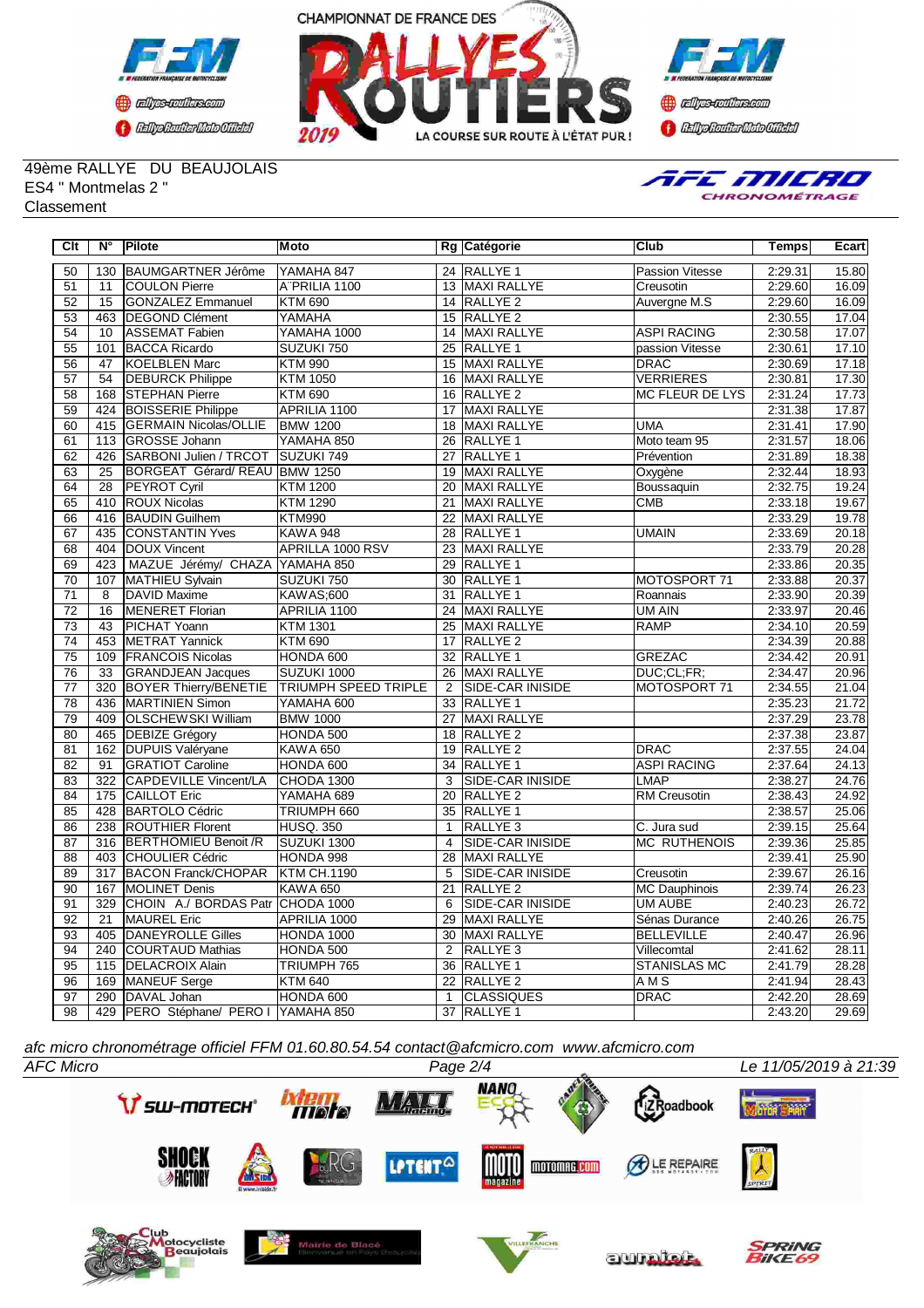





49ème RALLYE DU BEAUJOLAIS ES4 " Montmelas 2 " **Classement** 



| Clt             | N°              | Pilote                                            | <b>Moto</b>        |                 | Rg Catégorie            | <b>Club</b>            | <b>Temps</b> | Ecart |
|-----------------|-----------------|---------------------------------------------------|--------------------|-----------------|-------------------------|------------------------|--------------|-------|
| 50              | 130             | BAUMGARTNER Jérôme                                | YAMAHA 847         |                 | 24 RALLYE 1             | Passion Vitesse        | 2:29.31      | 15.80 |
| 51              | 11              | <b>COULON Pierre</b>                              | A"PRILIA 1100      |                 | 13 MAXI RALLYE          | Creusotin              | 2:29.60      | 16.09 |
| 52              | $\overline{15}$ | <b>GONZALEZ Emmanuel</b>                          | <b>KTM 690</b>     |                 | 14 RALLYE 2             | Auvergne M.S           | 2:29.60      | 16.09 |
| 53              | 463             | DEGOND Clément                                    | YAMAHA             |                 | 15 RALLYE 2             |                        | 2:30.55      | 17.04 |
| $\overline{54}$ | $\overline{10}$ | <b>ASSEMAT Fabien</b>                             | YAMAHA 1000        |                 | 14 MAXI RALLYE          | <b>ASPI RACING</b>     | 2:30.58      | 17.07 |
| 55              | 101             | <b>BACCA Ricardo</b>                              | SUZUKI 750         | 25              | <b>RALLYE 1</b>         | passion Vitesse        | 2:30.61      | 17.10 |
| 56              | 47              | <b>KOELBLEN Marc</b>                              | <b>KTM 990</b>     | 15              | <b>MAXI RALLYE</b>      | <b>DRAC</b>            | 2:30.69      | 17.18 |
| 57              | 54              | <b>DEBURCK Philippe</b>                           | <b>KTM 1050</b>    | 16              | <b>MAXI RALLYE</b>      | <b>VERRIERES</b>       | 2:30.81      | 17.30 |
| 58              | 168             | <b>STEPHAN Pierre</b>                             | <b>KTM 690</b>     | 16              | <b>RALLYE 2</b>         | <b>MC FLEUR DE LYS</b> | 2:31.24      | 17.73 |
| 59              | 424             | <b>BOISSERIE Philippe</b>                         | APRILIA 1100       | 17              | <b>MAXI RALLYE</b>      |                        | 2:31.38      | 17.87 |
| 60              | 415             | <b>GERMAIN Nicolas/OLLIE</b>                      | <b>BMW 1200</b>    | 18              | <b>MAXI RALLYE</b>      | <b>UMA</b>             | 2:31.41      | 17.90 |
| 61              | 113             | <b>GROSSE Johann</b>                              | YAMAHA 850         | 26              | RALLYE 1                | Moto team 95           | 2:31.57      | 18.06 |
| 62              | 426             | SARBONI Julien / TRCOT                            | <b>SUZUKI 749</b>  | $\overline{27}$ | <b>RALLYE 1</b>         | Prévention             | 2:31.89      | 18.38 |
| 63              | 25              | BORGEAT Gérard/REAU BMW 1250                      |                    | 19              | <b>MAXI RALLYE</b>      | Oxygène                | 2:32.44      | 18.93 |
| 64              | $\overline{28}$ | <b>PEYROT Cyril</b>                               | <b>KTM 1200</b>    | $\overline{20}$ | <b>MAXI RALLYE</b>      | Boussaquin             | 2:32.75      | 19.24 |
| 65              | 410             | <b>ROUX Nicolas</b>                               | <b>KTM 1290</b>    | 21              | <b>MAXI RALLYE</b>      | <b>CMB</b>             | 2:33.18      | 19.67 |
| 66              | 416             | <b>BAUDIN Guilhem</b>                             | <b>KTM990</b>      | $\overline{22}$ | <b>MAXI RALLYE</b>      |                        | 2:33.29      | 19.78 |
| 67              | 435             | <b>CONSTANTIN Yves</b>                            | <b>KAWA 948</b>    | 28              | <b>RALLYE 1</b>         | <b>UMAIN</b>           | 2:33.69      | 20.18 |
| 68              |                 | 404  DOUX Vincent                                 | APRILLA 1000 RSV   | 23              | MAXI RALLYE             |                        | 2:33.79      | 20.28 |
| 69              | 423             | MAZUE Jérémy/ CHAZA YAMAHA 850                    |                    | 29              | RALLYE 1                |                        | 2:33.86      | 20.35 |
| 70              | 107             | MATHIEU Sylvain                                   | SUZUKI 750         | 30              | <b>RALLYE 1</b>         | MOTOSPORT 71           | 2:33.88      | 20.37 |
| 71              | $\overline{8}$  | <b>DAVID Maxime</b>                               | <b>KAWAS;600</b>   | 31              | <b>RALLYE1</b>          | Roannais               | 2:33.90      | 20.39 |
| 72              | 16              | <b>MENERET Florian</b>                            | APRILIA 1100       | 24              | MAXI RALLYE             | UM AIN                 | 2:33.97      | 20.46 |
| 73              | 43              | PICHAT Yoann                                      | <b>KTM 1301</b>    | 25              | MAXI RALLYE             | <b>RAMP</b>            | 2:34.10      | 20.59 |
| 74              | 453             | <b>METRAT Yannick</b>                             | <b>KTM 690</b>     | 17              | RALLYE <sub>2</sub>     |                        | 2:34.39      | 20.88 |
| 75              | 109             | <b>FRANCOIS Nicolas</b>                           | HONDA 600          | 32              | RALLYE <sub>1</sub>     | <b>GREZAC</b>          | 2:34.42      | 20.91 |
| 76              | $\overline{33}$ | <b>GRANDJEAN Jacques</b>                          | SUZUKI 1000        | 26              | MAXI RALLYE             | DUC:CL:FR:             | 2:34.47      | 20.96 |
| $\overline{77}$ | 320             | <b>BOYER Thierry/BENETIE TRIUMPH SPEED TRIPLE</b> |                    | $\overline{2}$  | <b>SIDE-CAR INISIDE</b> | MOTOSPORT 71           | 2:34.55      | 21.04 |
| $\overline{78}$ | 436             | <b>MARTINIEN Simon</b>                            | YAMAHA 600         |                 | 33 RALLYE 1             |                        | 2:35.23      | 21.72 |
| $\overline{79}$ | 409             | <b>OLSCHEWSKI William</b>                         | <b>BMW 1000</b>    | $\overline{27}$ | <b>MAXI RALLYE</b>      |                        | 2:37.29      | 23.78 |
| 80              | 465             | <b>DEBIZE Grégory</b>                             | HONDA 500          | 18              | <b>RALLYE 2</b>         |                        | 2:37.38      | 23.87 |
| 81              | 162             | <b>DUPUIS Valéryane</b>                           | <b>KAWA 650</b>    | $\overline{19}$ | <b>RALLYE 2</b>         | <b>DRAC</b>            | 2:37.55      | 24.04 |
| 82              | 91              | <b>GRATIOT Caroline</b>                           | HONDA 600          |                 | 34 RALLYE 1             | <b>ASPI RACING</b>     | 2:37.64      | 24.13 |
| 83              | 322             | CAPDEVILLE Vincent/LA                             | CHODA 1300         | 3               | <b>SIDE-CAR INISIDE</b> | <b>LMAP</b>            | 2:38.27      | 24.76 |
| 84              | 175             | <b>CAILLOT Eric</b>                               | YAMAHA 689         | $\overline{20}$ | <b>RALLYE 2</b>         | <b>RM</b> Creusotin    | 2:38.43      | 24.92 |
| 85              | 428             | <b>BARTOLO Cédric</b>                             | TRIUMPH 660        | 35              | <b>RALLYE 1</b>         |                        | 2:38.57      | 25.06 |
| 86              | 238             | <b>ROUTHIER Florent</b>                           | <b>HUSQ. 350</b>   | $\mathbf{1}$    | RALLYE <sub>3</sub>     | C. Jura sud            | 2:39.15      | 25.64 |
| 87              | 316             | <b>BERTHOMIEU Benoit /R</b>                       | SUZUKI 1300        | $\overline{4}$  | SIDE-CAR INISIDE        | <b>MC RUTHENOIS</b>    | 2:39.36      | 25.85 |
| 88              | 403             | <b>CHOULIER Cédric</b>                            | HONDA 998          | $\overline{28}$ | <b>MAXI RALLYE</b>      |                        | 2:39.41      | 25.90 |
| 89              | 317             | <b>BACON Franck/CHOPAR</b>                        | <b>KTM CH.1190</b> | 5               | SIDE-CAR INISIDE        | Creusotin              | 2:39.67      | 26.16 |
| 90              | 167             | <b>MOLINET Denis</b>                              | <b>KAWA 650</b>    | $\overline{21}$ | RALLYE <sub>2</sub>     | <b>MC Dauphinois</b>   | 2:39.74      | 26.23 |
| 91              | 329             | CHOIN A./ BORDAS Patr CHODA 1000                  |                    | 6               | SIDE-CAR INISIDE        | <b>UM AUBE</b>         | 2:40.23      | 26.72 |
| 92              | 21              | <b>MAUREL Eric</b>                                | APRILIA 1000       | 29              | <b>MAXI RALLYE</b>      | Sénas Durance          | 2:40.26      | 26.75 |
| 93              | 405             | <b>DANEYROLLE Gilles</b>                          | HONDA 1000         | 30              | MAXI RALLYE             | <b>BELLEVILLE</b>      | 2:40.47      | 26.96 |
| 94              | 240             | COURTAUD Mathias                                  | HONDA 500          | $\overline{2}$  | RALLYE <sub>3</sub>     | Villecomtal            | 2:41.62      | 28.11 |
| 95              | 115             | <b>DELACROIX Alain</b>                            | TRIUMPH 765        | 36              | <b>RALLYE 1</b>         | <b>STANISLAS MC</b>    | 2:41.79      | 28.28 |
| 96              | 169             | MANEUF Serge                                      | <b>KTM 640</b>     | 22              | RALLYE <sub>2</sub>     | AMS                    | 2:41.94      | 28.43 |
| 97              | 290             | DAVAL Johan                                       | HONDA 600          | $\mathbf{1}$    | <b>CLASSIQUES</b>       | <b>DRAC</b>            | 2:42.20      | 28.69 |
| 98              | 429             | PERO Stéphane/ PERO I YAMAHA 850                  |                    |                 | 37 RALLYE 1             |                        | 2:43.20      | 29.69 |

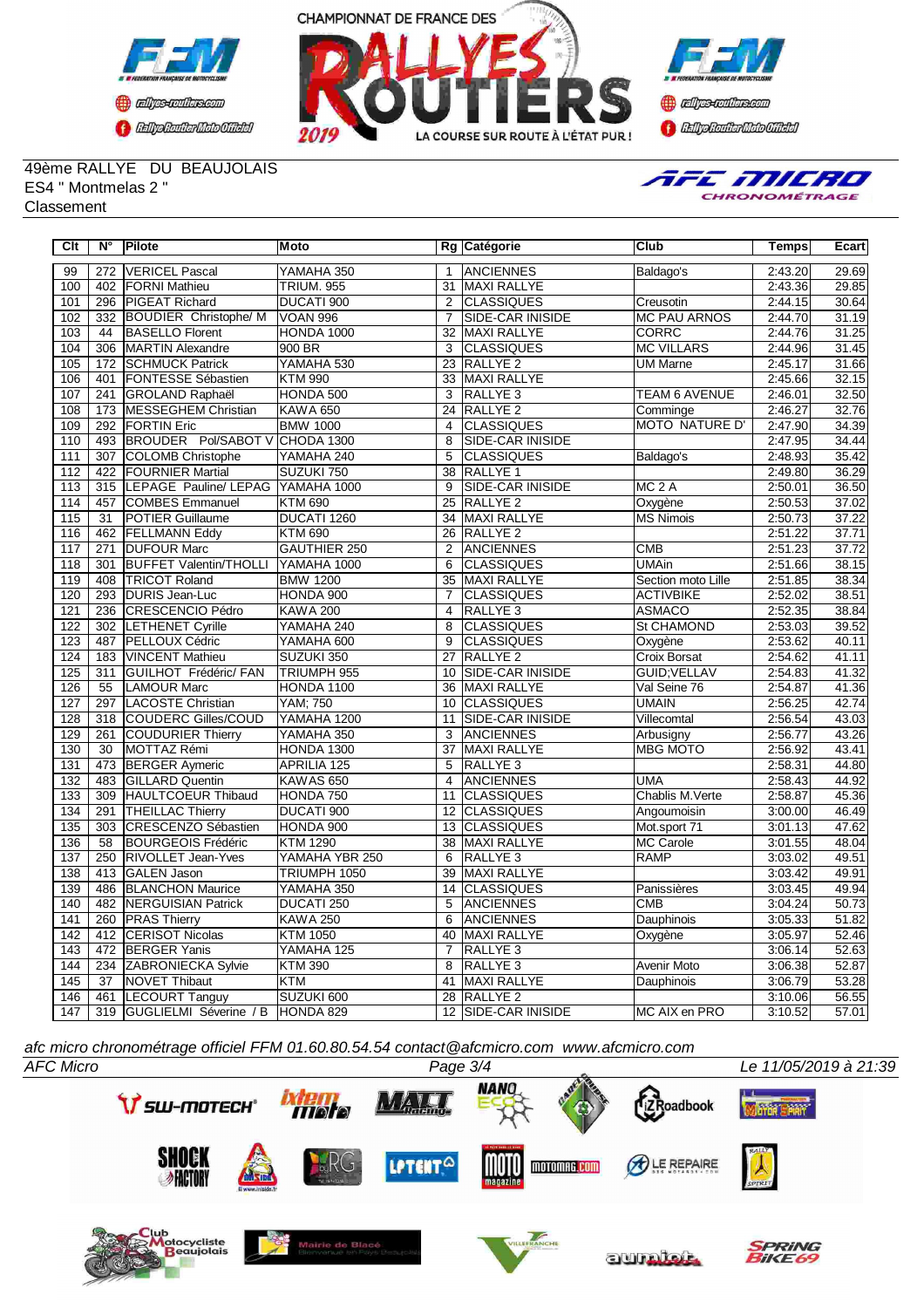





49ème RALLYE DU BEAUJOLAIS ES4 " Montmelas 2 " **Classement** 



| Clt              | N°               | Pilote                               | Moto              |                 | Rg Catégorie            | Club                    | Temps   | Ecart |
|------------------|------------------|--------------------------------------|-------------------|-----------------|-------------------------|-------------------------|---------|-------|
| 99               | 272              | <b>VERICEL Pascal</b>                | YAMAHA 350        | $\mathbf{1}$    | <b>ANCIENNES</b>        | Baldago's               | 2:43.20 | 29.69 |
| 100              | 402              | FORNI Mathieu                        | <b>TRIUM, 955</b> | 31              | <b>MAXI RALLYE</b>      |                         | 2:43.36 | 29.85 |
| 101              | 296              | <b>PIGEAT Richard</b>                | DUCATI 900        | $\overline{2}$  | <b>CLASSIQUES</b>       | Creusotin               | 2:44.15 | 30.64 |
| 102              | 332              | <b>BOUDIER Christophe/ M</b>         | VOAN 996          | $\overline{7}$  | SIDE-CAR INISIDE        | <b>MC PAU ARNOS</b>     | 2:44.70 | 31.19 |
| 103              | 44               | <b>BASELLO Florent</b>               | HONDA 1000        | $\overline{32}$ | <b>MAXI RALLYE</b>      | <b>CORRC</b>            | 2:44.76 | 31.25 |
| 104              | 306              | <b>MARTIN Alexandre</b>              | 900 BR            | 3               | <b>CLASSIQUES</b>       | <b>MC VILLARS</b>       | 2:44.96 | 31.45 |
| 105              | 172              | <b>SCHMUCK Patrick</b>               | YAMAHA 530        | 23              | <b>RALLYE 2</b>         | <b>UM Marne</b>         | 2:45.17 | 31.66 |
| 106              | 401              | <b>FONTESSE Sébastien</b>            | <b>KTM 990</b>    | 33              | <b>MAXI RALLYE</b>      |                         | 2:45.66 | 32.15 |
| 107              | 241              | <b>GROLAND Raphaël</b>               | HONDA 500         | $\overline{3}$  | RALLYE <sub>3</sub>     | <b>TEAM 6 AVENUE</b>    | 2:46.01 | 32.50 |
| 108              | 173              | MESSEGHEM Christian                  | <b>KAWA 650</b>   | 24              | <b>RALLYE 2</b>         | Comminge                | 2:46.27 | 32.76 |
| 109              | 292              | <b>FORTIN Eric</b>                   | <b>BMW 1000</b>   | 4               | <b>CLASSIQUES</b>       | <b>MOTO NATURE D'</b>   | 2:47.90 | 34.39 |
| 110              | 493              | BROUDER Pol/SABOT V CHODA 1300       |                   | 8               | SIDE-CAR INISIDE        |                         | 2:47.95 | 34.44 |
| 111              | $\overline{307}$ | <b>COLOMB Christophe</b>             | YAMAHA 240        | $\overline{5}$  | <b>CLASSIQUES</b>       | Baldago's               | 2:48.93 | 35.42 |
| 112              | 422              | <b>FOURNIER Martial</b>              | SUZUKI 750        | 38              | RALLYE <sub>1</sub>     |                         | 2:49.80 | 36.29 |
| 113              | 315              | LEPAGE Pauline/ LEPAG YAMAHA 1000    |                   | 9               | SIDE-CAR INISIDE        | MC <sub>2</sub> A       | 2:50.01 | 36.50 |
| 114              | 457              | <b>COMBES Emmanuel</b>               | <b>KTM 690</b>    | 25              | <b>RALLYE 2</b>         | Oxygène                 | 2:50.53 | 37.02 |
| 115              | 31               | <b>POTIER Guillaume</b>              | DUCATI 1260       | 34              | MAXI RALLYE             | MS Nimois               | 2:50.73 | 37.22 |
| 116              | 462              | <b>FELLMANN Eddy</b>                 | <b>KTM 690</b>    | 26              | <b>RALLYE 2</b>         |                         | 2:51.22 | 37.71 |
| 117              | 271              | <b>DUFOUR Marc</b>                   | GAUTHIER 250      | 2               | <b>ANCIENNES</b>        | $\overline{\text{CMB}}$ | 2:51.23 | 37.72 |
| 118              | 301              | <b>BUFFET Valentin/THOLLI</b>        | YAMAHA 1000       | 6               | <b>CLASSIQUES</b>       | <b>UMAin</b>            | 2:51.66 | 38.15 |
| 119              | 408              | <b>TRICOT Roland</b>                 | <b>BMW 1200</b>   | 35              | <b>MAXI RALLYE</b>      | Section moto Lille      | 2:51.85 | 38.34 |
| 120              | 293              | <b>DURIS Jean-Luc</b>                | HONDA 900         | $\overline{7}$  | <b>CLASSIQUES</b>       | <b>ACTIVBIKE</b>        | 2:52.02 | 38.51 |
| 121              | 236              | CRESCENCIO Pédro                     | <b>KAWA 200</b>   | $\overline{4}$  | RALLYE <sub>3</sub>     | <b>ASMACO</b>           | 2:52.35 | 38.84 |
| 122              | 302              | <b>LETHENET Cyrille</b>              | YAMAHA 240        | 8               | <b>CLASSIQUES</b>       | St CHAMOND              | 2:53.03 | 39.52 |
| 123              | 487              | PELLOUX Cédric                       | YAMAHA 600        | 9               | <b>CLASSIQUES</b>       | Oxygène                 | 2:53.62 | 40.11 |
| 124              | 183              | VINCENT Mathieu                      | SUZUKI 350        | 27              | RALLYE <sub>2</sub>     | Croix Borsat            | 2:54.62 | 41.11 |
| 125              | 311              | GUILHOT Frédéric/ FAN                | TRIUMPH 955       | 10              | SIDE-CAR INISIDE        | GUID; VELLAV            | 2:54.83 | 41.32 |
| 126              | 55               | <b>LAMOUR Marc</b>                   | HONDA 1100        | 36              | <b>MAXI RALLYE</b>      | Val Seine 76            | 2:54.87 | 41.36 |
| 127              | 297              | <b>LACOSTE Christian</b>             | YAM; 750          | 10              | <b>CLASSIQUES</b>       | <b>UMAIN</b>            | 2:56.25 | 42.74 |
| 128              | 318              | <b>COUDERC Gilles/COUD</b>           | YAMAHA 1200       | 11              | <b>SIDE-CAR INISIDE</b> | Villecomtal             | 2:56.54 | 43.03 |
| 129              | 261              | COUDURIER Thierry                    | YAMAHA 350        | 3               | ANCIENNES               | Arbusigny               | 2:56.77 | 43.26 |
| 130              | $\overline{30}$  | MOTTAZ Rémi                          | HONDA 1300        | $\overline{37}$ | MAXI RALLYE             | <b>MBG MOTO</b>         | 2:56.92 | 43.41 |
| 131              | 473              | <b>BERGER Aymeric</b>                | APRILIA 125       | 5               | RALLYE <sub>3</sub>     |                         | 2:58.31 | 44.80 |
| 132              | 483              | <b>GILLARD Quentin</b>               | <b>KAWAS 650</b>  | $\overline{4}$  | <b>ANCIENNES</b>        | UMA                     | 2:58.43 | 44.92 |
| 133              | 309              | <b>HAULTCOEUR Thibaud</b>            | HONDA 750         | 11              | <b>CLASSIQUES</b>       | Chablis M. Verte        | 2:58.87 | 45.36 |
| 134              | 291              | <b>THEILLAC Thierry</b>              | DUCATI 900        | 12              | <b>CLASSIQUES</b>       | Angoumoisin             | 3:00.00 | 46.49 |
| 135              | 303              | <b>CRESCENZO Sébastien</b>           | HONDA 900         | 13              | <b>CLASSIQUES</b>       | Mot.sport 71            | 3:01.13 | 47.62 |
| 136              | 58               | <b>BOURGEOIS Frédéric</b>            | <b>KTM 1290</b>   | 38              | <b>MAXI RALLYE</b>      | <b>MC Carole</b>        | 3:01.55 | 48.04 |
| 137              | 250              | <b>RIVOLLET Jean-Yves</b>            | YAMAHA YBR 250    | 6               | RALLYE <sub>3</sub>     | <b>RAMP</b>             | 3:03.02 | 49.51 |
| 138              | 413              | <b>GALEN Jason</b>                   | TRIUMPH 1050      | 39              | <b>MAXI RALLYE</b>      |                         | 3:03.42 | 49.91 |
| 139              | 486              | <b>BLANCHON Maurice</b>              | YAMAHA 350        | 14              | <b>CLASSIQUES</b>       | Panissières             | 3:03.45 | 49.94 |
| 140              | 482              | <b>NERGUISIAN Patrick</b>            | DUCATI 250        | 5               | <b>ANCIENNES</b>        | <b>CMB</b>              | 3:04.24 | 50.73 |
| 141              |                  | 260 PRAS Thierry                     | <b>KAWA 250</b>   | 6               | <b>ANCIENNES</b>        | Dauphinois              | 3:05.33 | 51.82 |
| 142              | 412              | <b>CERISOT Nicolas</b>               | <b>KTM 1050</b>   | 40              | <b>MAXI RALLYE</b>      | Oxygène                 | 3:05.97 | 52.46 |
| 143              | 472              | <b>BERGER Yanis</b>                  | YAMAHA 125        | $\overline{7}$  | RALLYE <sub>3</sub>     |                         | 3:06.14 | 52.63 |
| 144              |                  | 234 ZABRONIECKA Sylvie               | <b>KTM 390</b>    | 8               | RALLYE <sub>3</sub>     | Avenir Moto             | 3:06.38 | 52.87 |
| 145              | $\overline{37}$  | <b>NOVET Thibaut</b>                 | <b>KTM</b>        | 41              | <b>MAXI RALLYE</b>      | Dauphinois              | 3:06.79 | 53.28 |
| 146              | 461              | <b>LECOURT Tanguy</b>                | SUZUKI 600        | 28              | RALLYE <sub>2</sub>     |                         | 3:10.06 | 56.55 |
| $\overline{147}$ |                  | 319 GUGLIELMI Séverine / B HONDA 829 |                   |                 | 12 SIDE-CAR INISIDE     | MC AIX en PRO           | 3:10.52 | 57.01 |